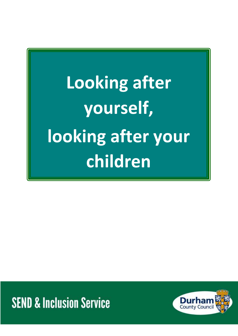**Looking after yourself, looking after your children**

**SEND & Inclusion Service** 

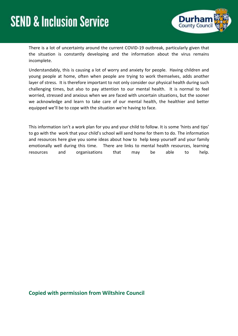

There is a lot of uncertainty around the current COVID-19 outbreak, particularly given that the situation is constantly developing and the information about the virus remains incomplete.

Understandably, this is causing a lot of worry and anxiety for people. Having children and young people at home, often when people are trying to work themselves, adds another layer of stress. It is therefore important to not only consider our physical health during such challenging times, but also to pay attention to our mental health. It is normal to feel worried, stressed and anxious when we are faced with uncertain situations, but the sooner we acknowledge and learn to take care of our mental health, the healthier and better equipped we'll be to cope with the situation we're having to face.

This information isn't a work plan for you and your child to follow. It is some 'hints and tips' to go with the work that your child's school will send home for them to do. The information and resources here give you some ideas about how to help keep yourself and your family emotionally well during this time. There are links to mental health resources, learning resources and organisations that may be able to help.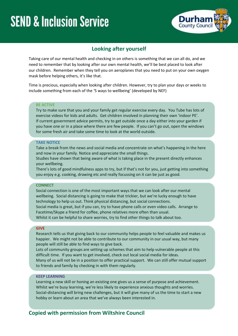

### **Looking after yourself**

Taking care of our mental health and checking in on others is something that we can all do, and we need to remember that by looking after our own mental health, we'll be best placed to look after our children. Remember when they tell you on aeroplanes that you need to put on your own oxygen mask before helping others, it's like that.

Time is precious, especially when looking after children. However, try to plan your days or weeks to include something from each of the '5 ways to wellbeing' (developed by NEF)

#### **BE ACTIVE**

Try to make sure that you and your family get regular exercise every day. You Tube has lots of exercise videos for kids and adults. Get children involved in planning their own 'indoor PE'. If current government advice permits, try to get outside once a day either into your garden if you have one or in a place where there are few people. If you can't go out, open the windows for some fresh air and take some time to look at the world outside.

#### **TAKE NOTICE**

Take a break from the news and social media and concentrate on what's happening in the here and now in your family. Notice and appreciate the small things.

Studies have shown that being aware of what is taking place in the present directly enhances your wellbeing.

There's lots of good mindfulness apps to try, but if that's not for you, just getting into something you enjoy e.g. cooking, drawing etc and really focussing on it can be just as good.

#### **CONNECT**

Social connection is one of the most important ways that we can look after our mental wellbeing. Social distancing is going to make that trickier, but we're lucky enough to have technology to help us out. Think physical distancing, but social connections. Social media is great, but if you can, try to have phone calls or even video calls. Arrange to Facetime/Skype a friend for coffee, phone relatives more often than usual. Whilst it can be helpful to share worries, try to find other things to talk about too.

#### **GIVE**

Research tells us that giving back to our community helps people to feel valuable and makes us happier. We might not be able to contribute to our community in our usual way, but many people will still be able to find ways to give back.

Lots of community groups are setting up schemes that aim to help vulnerable people at this difficult time. If you want to get involved, check out local social media for ideas. Many of us will not be in a position to offer practical support. We can still offer mutual support to friends and family by checking in with them regularly.

#### **KEEP LEARNING**

Learning a new skill or honing an existing one gives us a sense of purpose and achievement. Whilst we're busy learning, we're less likely to experience anxious thoughts and worries. Social-distancing will bring new challenges, but it will give many of us the time to start a new hobby or learn about an area that we've always been interested in.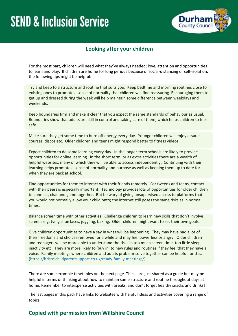

## **Looking after your children**

For the most part, children will need what they've always needed; love, attention and opportunities to learn and play. If children are home for long periods because of social-distancing or self-isolation, the following tips might be helpful:

Try and keep to a structure and routine that suits you. Keep bedtime and morning routines close to existing ones to promote a sense of normality that children will find reassuring. Encouraging them to get up and dressed during the week will help maintain some difference between weekdays and weekends.

Keep boundaries firm and make it clear that you expect the same standards of behaviour as usual. Boundaries show that adults are still in control and taking care of them, which helps children to feel safe.

Make sure they get some time to burn off energy every day. Younger children will enjoy assault courses, discos etc. Older children and teens might respond better to fitness videos.

Expect children to do some learning every day. In the longer-term schools are likely to provide opportunities for online learning. In the short term, or as extra activities there are a wealth of helpful websites, many of which they will be able to access independently. Continuing with their learning helps promote a sense of normality and purpose as well as keeping them up to date for when they are back at school.

Find opportunities for them to interact with their friends remotely. For tweens and teens, contact with their peers is especially important. Technology provides lots of opportunities for older children to connect, chat and game together. But be wary of giving unsupervised access to platforms that you would not normally allow your child onto; the internet still poses the same risks as in normal times.

Balance screen time with other activities. Challenge children to learn new skills that don't involve screens e.g. tying shoe laces, juggling, baking. Older children might want to set their own goals.

Give children opportunities to have a say in what will be happening. They may have had a lot of their freedoms and choices removed for a while and may feel powerless or angry. Older children and teenagers will be more able to understand the risks in too much screen time, too little sleep, inactivity etc. They are more likely to 'buy in' to new rules and routines if they feel that they have a voice. Family meetings where children and adults problem-solve together can be helpful for this. [\(https://bristolchildparentsupport.co.uk/ready-family-meetings/\)](https://bristolchildparentsupport.co.uk/ready-family-meetings/)

There are some example timetables on the next page. These are just shared as a guide but may be helpful in terms of thinking about how to maintain some structure and routine throughout days at home. Remember to intersperse activities with breaks, and don't forget healthy snacks and drinks!

The last pages in this pack have links to websites with helpful ideas and activities covering a range of topics.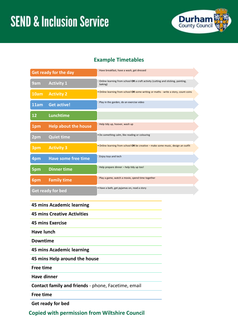

## **Example Timetables**

| <b>Get ready for the day</b> |                             | Have breakfast, have a wash, get dressed                                                    |
|------------------------------|-----------------------------|---------------------------------------------------------------------------------------------|
| 9am                          | <b>Activity 1</b>           | Online learning from school OR a craft activity (cutting and sticking, painting,<br>baking) |
| 10am                         | <b>Activity 2</b>           | . Online learning from school OR some writing or maths - write a story, count coins         |
| 11am                         | <b>Get active!</b>          | Play in the garden, do an exercise video                                                    |
| 12                           | Lunchtime                   |                                                                                             |
| 1pm                          | <b>Help about the house</b> | Help tidy up, hoover, wash up                                                               |
| 2pm                          | <b>Quiet time</b>           | . Do something calm, like reading or colouring                                              |
| 3pm                          | <b>Activity 3</b>           | . Online learning from school OR be creative - make some music, design an outfit            |
| 4pm                          | <b>Have some free time</b>  | Enjoy toys and tech                                                                         |
| 5pm                          | <b>Dinner time</b>          | Help prepare dinner - help tidy up too!                                                     |
| 6pm                          | <b>Family time</b>          | Play a game, watch a movie, spend time together                                             |
| <b>Get ready for bed</b>     |                             | · Have a bath, get pyjamas on, read a story                                                 |

### **45 mins Academic learning**

**45 mins Creative Activities**

**45 mins Exercise** 

**Have lunch**

**Downtime** 

**45 mins Academic learning**

**45 mins Help around the house**

**Free time** 

**Have dinner**

**Contact family and friends** - phone, Facetime, email

**Free time**

**Get ready for bed**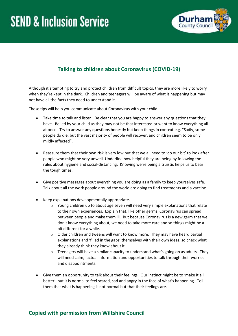

# **Talking to children about Coronavirus (COVID-19)**

Although it's tempting to try and protect children from difficult topics, they are more likely to worry when they're kept in the dark. Children and teenagers will be aware of what is happening but may not have all the facts they need to understand it.

These tips will help you communicate about Coronavirus with your child:

- Take time to talk and listen. Be clear that you are happy to answer any questions that they have. Be led by your child as they may not be that interested or want to know everything all at once. Try to answer any questions honestly but keep things in context e.g. "Sadly, some people do die, but the vast majority of people will recover, and children seem to be only mildly affected".
- Reassure them that their own risk is very low but that we all need to 'do our bit' to look after people who might be very unwell. Underline how helpful they are being by following the rules about hygiene and social-distancing. Knowing we're being altruistic helps us to bear the tough times.
- Give positive messages about everything you are doing as a family to keep yourselves safe. Talk about all the work people around the world are doing to find treatments and a vaccine.
- Keep explanations developmentally appropriate.
	- o Young children up to about age seven will need very simple explanations that relate to their own experiences. Explain that, like other germs, Coronavirus can spread between people and make them ill. But because Coronavirus is a new germ that we don't know everything about, we need to take more care and so things might be a bit different for a while.
	- $\circ$  Older children and tweens will want to know more. They may have heard partial explanations and 'filled in the gaps' themselves with their own ideas, so check what they already think they know about it.
	- $\circ$  Teenagers will have a similar capacity to understand what's going on as adults. They will need calm, factual information and opportunities to talk through their worries and disappointments.
- Give them an opportunity to talk about their feelings. Our instinct might be to 'make it all better', but it is normal to feel scared, sad and angry in the face of what's happening. Tell them that what is happening is not normal but that their feelings are.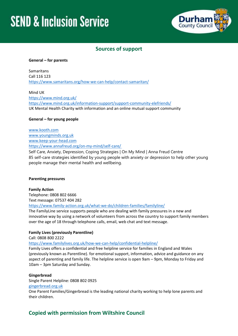

### **Sources of support**

#### **General – for parents**

Samaritans Call 116 123 <https://www.samaritans.org/how-we-can-help/contact-samaritan/>

Mind UK <https://www.mind.org.uk/> <https://www.mind.org.uk/information-support/support-community-elefriends/> UK Mental Health Charity with information and an online mutual support community

#### **General – for young people**

[www.kooth.com](http://www.kooth.com/) [www.youngminds.org.uk](http://www.youngminds.org.uk/) [www.keep-your-head.com](http://www.keep-your-head.com/) <https://www.annafreud.org/on-my-mind/self-care/>

Self Care, Anxiety, Depression, Coping Strategies | On My Mind | Anna Freud Centre 85 self-care strategies identified by young people with anxiety or depression to help other young people manage their mental health and wellbeing.

#### **Parenting pressures**

**Family Action** Telephone: 0808 802 6666 Text message: 07537 404 282 <https://www.family-action.org.uk/what-we-do/children-families/familyline/>

The FamilyLine service supports people who are dealing with family pressures in a new and innovative way by using a network o[f volunteers](https://www.family-action.org.uk/get-involved/volunteer/) from across the country to support family members over the age of 18 through telephone calls, email, web chat and text message.

#### **Family Lives (previously Parentline)**

Call: 0808 800 2222

<https://www.familylives.org.uk/how-we-can-help/confidential-helpline/>

Family Lives offers a confidential and free helpline service for families in England and Wales (previously known as Parentline). for emotional support, information, advice and guidance on any aspect of parenting and family life. The helpline service is open 9am – 9pm, Monday to Friday and 10am – 3pm Saturday and Sunday.

#### **Gingerbread**

Single Parent Helpline: 0808 802 0925

#### [gingerbread.org.uk](http://www.gingerbread.org.uk/)

One Parent Families/Gingerbread is the leading national charity working to help lone parents and their children.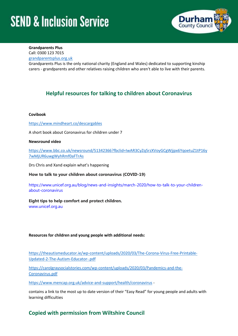

#### **Grandparents Plus**

Call: 0300 123 7015

[grandparentsplus.org.uk](http://www.grandparentsplus.org.uk/)

Grandparents Plus is the only national charity (England and Wales) dedicated to supporting kinship carers - grandparents and other relatives raising children who aren't able to live with their parents.

## **Helpful resources for talking to children about Coronavirus**

#### **Covibook**

<https://www.mindheart.co/descargables>

A short book about Coronavirus for children under 7

#### **Newsround video**

[https://www.bbc.co.uk/newsround/51342366?fbclid=IwAR3CyZq5rzXVoyGCgWjjpx6YqoetuZ1tP16y](https://www.bbc.co.uk/newsround/51342366?fbclid=IwAR3CyZq5rzXVoyGCgWjjpx6YqoetuZ1tP16y7wMjUR6uwgWyhRmf0aFTrAs) [7wMjUR6uwgWyhRmf0aFTrAs](https://www.bbc.co.uk/newsround/51342366?fbclid=IwAR3CyZq5rzXVoyGCgWjjpx6YqoetuZ1tP16y7wMjUR6uwgWyhRmf0aFTrAs)

Drs Chris and Xand explain what's happening

**How to talk to your children about coronavirus (COVID-19)**

[https://www.unicef.org.au/blog/news-and-insights/march-2020/how-to-talk-to-your-children](https://www.unicef.org.au/blog/news-and-insights/march-2020/how-to-talk-to-your-children-about-coronavirus)[about-coronavirus](https://www.unicef.org.au/blog/news-and-insights/march-2020/how-to-talk-to-your-children-about-coronavirus)

#### **Eight tips to help comfort and protect children.**

[www.unicef.org.au](http://www.unicef.org.au/)

#### **Resources for children and young people with additional needs:**

[https://theautismeducator.ie/wp-content/uploads/2020/03/The-Corona-Virus-Free-Printable-](https://theautismeducator.ie/wp-content/uploads/2020/03/The-Corona-Virus-Free-Printable-Updated-2-The-Autism-Educator-.pdf)[Updated-2-The-Autism-Educator-.pdf](https://theautismeducator.ie/wp-content/uploads/2020/03/The-Corona-Virus-Free-Printable-Updated-2-The-Autism-Educator-.pdf)

[https://carolgraysocialstories.com/wp-content/uploads/2020/03/Pandemics-and-the-](https://carolgraysocialstories.com/wp-content/uploads/2020/03/Pandemics-and-the-Coronavirus.pdf)[Coronavirus.pdf](https://carolgraysocialstories.com/wp-content/uploads/2020/03/Pandemics-and-the-Coronavirus.pdf)

<https://www.mencap.org.uk/advice-and-support/health/coronavirus> -

contains a link to the most up to date version of their "Easy Read" for young people and adults with learning difficulties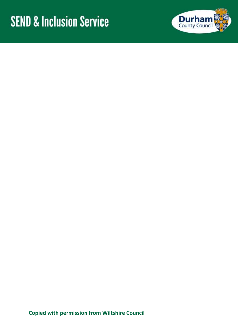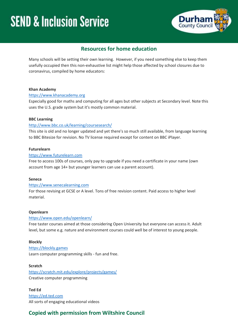

### **Resources for home education**

Many schools will be setting their own learning. However, if you need something else to keep them usefully occupied then this non-exhaustive list might help those affected by school closures due to coronavirus, compiled by home educators:

#### **Khan Academy**

#### [https://www.khanacademy.org](https://www.khanacademy.org/)

Especially good for maths and computing for all ages but other subjects at Secondary level. Note this uses the U.S. grade system but it's mostly common material.

#### **BBC Learning**

#### <http://www.bbc.co.uk/learning/coursesearch/>

This site is old and no longer updated and yet there's so much still available, from language learning to BBC Bitesize for revision. No TV license required except for content on BBC iPlayer.

#### **Futurelearn**

#### [https://www.futurelearn.com](https://www.futurelearn.com/)

Free to access 100s of courses, only pay to upgrade if you need a certificate in your name (own account from age 14+ but younger learners can use a parent account).

#### **Seneca**

#### [https://www.senecalearning.com](https://www.senecalearning.com/)

For those revising at GCSE or A level. Tons of free revision content. Paid access to higher level material.

#### **Openlearn**

#### <https://www.open.edu/openlearn/>

Free taster courses aimed at those considering Open University but everyone can access it. Adult level, but some e.g. nature and environment courses could well be of interest to young people.

#### **Blockly**

#### [https://blockly.games](https://blockly.games/)

Learn computer programming skills - fun and free.

#### **Scratch**

<https://scratch.mit.edu/explore/projects/games/> Creative computer programming

**Ted Ed** [https://ed.ted.com](https://ed.ted.com/) All sorts of engaging educational videos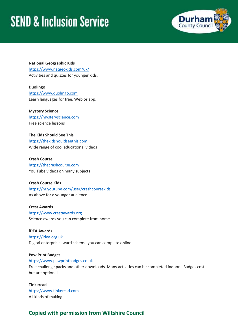

**National Geographic Kids** <https://www.natgeokids.com/uk/> Activities and quizzes for younger kids.

**Duolingo** [https://www.duolingo.com](https://www.duolingo.com/) Learn languages for free. Web or app.

**Mystery Science** [https://mysteryscience.com](https://mysteryscience.com/) Free science lessons

**The Kids Should See This** [https://thekidshouldseethis.com](https://thekidshouldseethis.com/) Wide range of cool educational videos

**Crash Course** [https://thecrashcourse.com](https://thecrashcourse.com/) You Tube videos on many subjects

#### **Crash Course Kids**

<https://m.youtube.com/user/crashcoursekids> As above for a younger audience

#### **Crest Awards**

[https://www.crestawards.org](https://www.crestawards.org/) Science awards you can complete from home.

**iDEA Awards** [https://idea.org.uk](https://idea.org.uk/) Digital enterprise award scheme you can complete online.

#### **Paw Print Badges**

[https://www.pawprintbadges.co.uk](https://www.pawprintbadges.co.uk/)

Free challenge packs and other downloads. Many activities can be completed indoors. Badges cost but are optional.

#### **Tinkercad**

[https://www.tinkercad.com](https://www.tinkercad.com/) All kinds of making.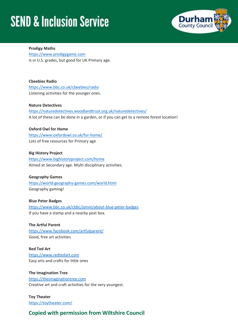

**Prodigy Maths** [https://www.prodigygame.com](https://www.prodigygame.com/) Is in U.S. grades, but good for UK Primary age.

**Cbeebies Radio** <https://www.bbc.co.uk/cbeebies/radio> Listening activities for the younger ones.

**Nature Detectives**

<https://naturedetectives.woodlandtrust.org.uk/naturedetectives/> A lot of these can be done in a garden, or if you can get to a remote forest location!

#### **Oxford Owl for Home**

<https://www.oxfordowl.co.uk/for-home/> Lots of free resources for Primary age

**Big History Project** <https://www.bighistoryproject.com/home> Aimed at Secondary age. Multi disciplinary activities.

#### **Geography Games**

<https://world-geography-games.com/world.html> Geography gaming!

#### **Blue Peter Badges**

<https://www.bbc.co.uk/cbbc/joinin/about-blue-peter-badges> If you have a stamp and a nearby post box.

**The Artful Parent** <https://www.facebook.com/artfulparent/> Good, free art activities

**Red Ted Art** [https://www.redtedart.com](https://www.redtedart.com/) Easy arts and crafts for little ones

**The Imagination Tree** [https://theimaginationtree.com](https://theimaginationtree.com/) Creative art and craft activities for the very youngest.

**Toy Theater** <https://toytheater.com/>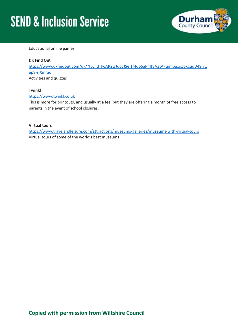

Educational online games

#### **DK Find Out**

[https://www.dkfindout.com/uk/?fbclid=IwAR2wJdpSJSeITf4do6aPhff8A3tAktnmpaxqZbkgudD49l71](https://www.dkfindout.com/uk/?fbclid=IwAR2wJdpSJSeITf4do6aPhff8A3tAktnmpaxqZbkgudD49l71ep8-sjXmrac) [ep8-sjXmrac](https://www.dkfindout.com/uk/?fbclid=IwAR2wJdpSJSeITf4do6aPhff8A3tAktnmpaxqZbkgudD49l71ep8-sjXmrac)

Activities and quizzes

#### **Twinkl**

[https://www.twinkl.co.uk](https://www.twinkl.co.uk/)

This is more for printouts, and usually at a fee, but they are offering a month of free access to parents in the event of school closures.

#### **Virtual tours**

<https://www.travelandleisure.com/attractions/museums-galleries/museums-with-virtual-tours> Virtual tours of some of the world's best museums